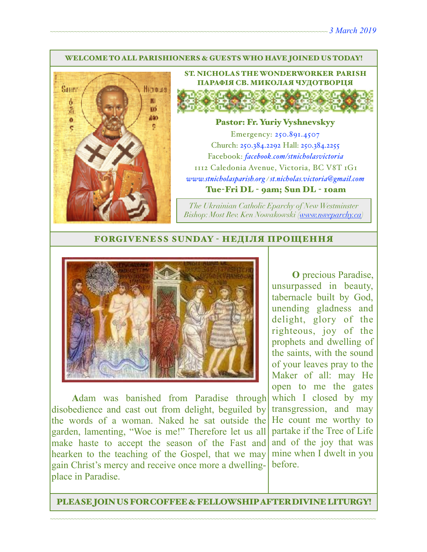#### WELCOME TO ALL PARISHIONERS & GUESTS WHO HAVE JOINED US TODAY!



ST. NICHOLAS THE WONDERWORKER PARISH ПАРАФІЯ СВ. МИКОЛАЯ ЧУДОТВОРЦЯ

### Pastor: Fr. Yuriy Vyshnevskyy

Emergency: 250.891.4507 Church: 250.384.2292 Hall: 250.384.2255 Facebook: *[facebook.com/stnicholasvictoria](http://facebook.com/stnicholasvictoria)* 1112 Caledonia Avenue, Victoria, BC V8T 1G1 *[www.stnicholasparish.org](http://www.stnicholasparish.org) / [st.nicholas.victoria@gmail.com](mailto:st.nicholas.victoria@gmail.com)* Tue-Fri DL - 9am; Sun DL - 10am

*The Ukrainian Catholic Eparchy of New Westminster Bishop: Most Rev. Ken Nowakowski ([www.nweparchy.ca](http://www.nweparchy.ca))*

#### FORGIVENESS SUNDAY - НЕДІЛЯ ПРОЩЕННЯ



**A**dam was banished from Paradise through disobedience and cast out from delight, beguiled by the words of a woman. Naked he sat outside the garden, lamenting, "Woe is me!" Therefore let us all make haste to accept the season of the Fast and hearken to the teaching of the Gospel, that we may gain Christ's mercy and receive once more a dwellingplace in Paradise.

**O** precious Paradise, unsurpassed in beauty, tabernacle built by God, unending gladness and delight, glory of the righteous, joy of the prophets and dwelling of the saints, with the sound of your leaves pray to the Maker of all: may He open to me the gates which I closed by my transgression, and may He count me worthy to partake if the Tree of Life and of the joy that was mine when I dwelt in you before.

PLEASE JOIN US FOR COFFEE & FELLOWSHIP AFTER DIVINE LITURGY!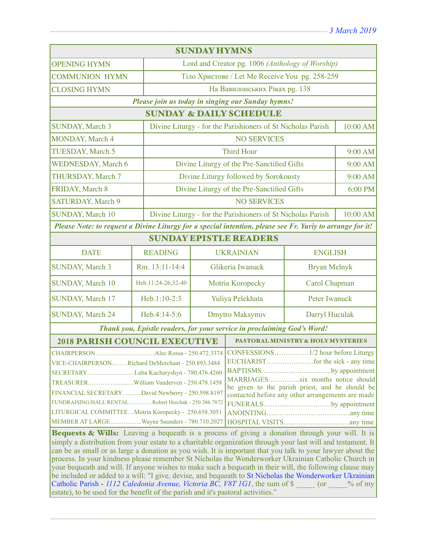| <b>SUNDAY HYMNS</b>                                                                                                                                                                                                                                                                                                                                                                                                                                                                                                                                                                                                                                                                                                                                                         |                    |                                                                         |                                              |                     |          |  |  |
|-----------------------------------------------------------------------------------------------------------------------------------------------------------------------------------------------------------------------------------------------------------------------------------------------------------------------------------------------------------------------------------------------------------------------------------------------------------------------------------------------------------------------------------------------------------------------------------------------------------------------------------------------------------------------------------------------------------------------------------------------------------------------------|--------------------|-------------------------------------------------------------------------|----------------------------------------------|---------------------|----------|--|--|
| <b>OPENING HYMN</b>                                                                                                                                                                                                                                                                                                                                                                                                                                                                                                                                                                                                                                                                                                                                                         |                    | Lord and Creator pg. 1006 (Anthology of Worship)                        |                                              |                     |          |  |  |
| <b>COMMUNION HYMN</b>                                                                                                                                                                                                                                                                                                                                                                                                                                                                                                                                                                                                                                                                                                                                                       |                    | Тіло Христове / Let Me Receive You pg. 258-259                          |                                              |                     |          |  |  |
| <b>CLOSING HYMN</b>                                                                                                                                                                                                                                                                                                                                                                                                                                                                                                                                                                                                                                                                                                                                                         |                    | На Вавилонських Ріках рд. 138                                           |                                              |                     |          |  |  |
| Please join us today in singing our Sunday hymns!                                                                                                                                                                                                                                                                                                                                                                                                                                                                                                                                                                                                                                                                                                                           |                    |                                                                         |                                              |                     |          |  |  |
| <b>SUNDAY &amp; DAILY SCHEDULE</b>                                                                                                                                                                                                                                                                                                                                                                                                                                                                                                                                                                                                                                                                                                                                          |                    |                                                                         |                                              |                     |          |  |  |
| <b>SUNDAY, March 3</b>                                                                                                                                                                                                                                                                                                                                                                                                                                                                                                                                                                                                                                                                                                                                                      |                    | Divine Liturgy - for the Parishioners of St Nicholas Parish             |                                              |                     | 10:00 AM |  |  |
| <b>MONDAY, March 4</b>                                                                                                                                                                                                                                                                                                                                                                                                                                                                                                                                                                                                                                                                                                                                                      |                    | <b>NO SERVICES</b>                                                      |                                              |                     |          |  |  |
| TUESDAY, March 5                                                                                                                                                                                                                                                                                                                                                                                                                                                                                                                                                                                                                                                                                                                                                            |                    | <b>Third Hour</b>                                                       |                                              |                     | 9:00 AM  |  |  |
| <b>WEDNESDAY, March 6</b>                                                                                                                                                                                                                                                                                                                                                                                                                                                                                                                                                                                                                                                                                                                                                   |                    | Divine Liturgy of the Pre-Sanctified Gifts                              |                                              | 9:00 AM             |          |  |  |
| THURSDAY, March 7                                                                                                                                                                                                                                                                                                                                                                                                                                                                                                                                                                                                                                                                                                                                                           |                    | Divine Liturgy followed by Sorokousty                                   |                                              |                     | 9:00 AM  |  |  |
| FRIDAY, March 8                                                                                                                                                                                                                                                                                                                                                                                                                                                                                                                                                                                                                                                                                                                                                             |                    | Divine Liturgy of the Pre-Sanctified Gifts                              |                                              | 6:00 PM             |          |  |  |
| <b>SATURDAY, March 9</b>                                                                                                                                                                                                                                                                                                                                                                                                                                                                                                                                                                                                                                                                                                                                                    |                    | <b>NO SERVICES</b>                                                      |                                              |                     |          |  |  |
| <b>SUNDAY, March 10</b>                                                                                                                                                                                                                                                                                                                                                                                                                                                                                                                                                                                                                                                                                                                                                     |                    | Divine Liturgy - for the Parishioners of St Nicholas Parish<br>10:00 AM |                                              |                     |          |  |  |
| Please Note: to request a Divine Liturgy for a special intention, please see Fr. Yuriy to arrange for it!                                                                                                                                                                                                                                                                                                                                                                                                                                                                                                                                                                                                                                                                   |                    |                                                                         |                                              |                     |          |  |  |
| <b>SUNDAY EPISTLE READERS</b>                                                                                                                                                                                                                                                                                                                                                                                                                                                                                                                                                                                                                                                                                                                                               |                    |                                                                         |                                              |                     |          |  |  |
| <b>DATE</b>                                                                                                                                                                                                                                                                                                                                                                                                                                                                                                                                                                                                                                                                                                                                                                 | <b>READING</b>     |                                                                         | <b>UKRAINIAN</b>                             | <b>ENGLISH</b>      |          |  |  |
| <b>SUNDAY, March 3</b>                                                                                                                                                                                                                                                                                                                                                                                                                                                                                                                                                                                                                                                                                                                                                      | Rm. 13:11-14:4     |                                                                         | Glikeria Iwanuck                             | <b>Bryan Melnyk</b> |          |  |  |
| SUNDAY, March 10                                                                                                                                                                                                                                                                                                                                                                                                                                                                                                                                                                                                                                                                                                                                                            | Heb.11:24-26;32-40 |                                                                         | Carol Chapman<br>Motria Koropecky            |                     |          |  |  |
| SUNDAY, March 17                                                                                                                                                                                                                                                                                                                                                                                                                                                                                                                                                                                                                                                                                                                                                            | Heb.1:10-2:3       |                                                                         | Peter Iwanuck<br>Yuliya Pelekhata            |                     |          |  |  |
| <b>SUNDAY, March 24</b>                                                                                                                                                                                                                                                                                                                                                                                                                                                                                                                                                                                                                                                                                                                                                     | Heb.4:14-5:6       |                                                                         | Dmytro Maksymiv<br>Darryl Huculak            |                     |          |  |  |
| Thank you, Epistle readers, for your service in proclaiming God's Word!                                                                                                                                                                                                                                                                                                                                                                                                                                                                                                                                                                                                                                                                                                     |                    |                                                                         |                                              |                     |          |  |  |
| <b>2018 PARISH COUNCIL EXECUTIVE</b>                                                                                                                                                                                                                                                                                                                                                                                                                                                                                                                                                                                                                                                                                                                                        |                    |                                                                         | <b>PASTORAL MINISTRY &amp; HOLYMYSTERIES</b> |                     |          |  |  |
| CONFESSIONS1/2 hour before Liturgy<br>VICE-CHAIRPERSONRichard DeMerchant - 250.893.3484<br>BAPTISMSby appointment  <br>SECRETARYLuba Kucharyshyn - 780.476.4260<br>MARRIAGESsix months notice should<br>be given to the parish priest, and he should be<br>FINANCIAL SECRETARYDavid Newberry - 250.598.8197<br>contacted before any other arrangements are made<br>FUNDRAISING/HALL RENTALRobert Herchak - 250.386.7872<br>FUNERALSby appointment<br>LITURGICAL COMMITTEEMotria Koropecky - 250.658.3051<br>MEMBER AT LARGEWayne Saunders - 780.710.2027<br>Bequests & Wills: Leaving a bequeath is a process of giving a donation through your will. It is<br>simply a distribution from your estate to a charitable organization through your last will and testament. It |                    |                                                                         |                                              |                     |          |  |  |
| can be as small or as large a donation as you wish. It is important that you talk to your lawyer about the<br>process. In your kindness please remember St Nicholas the Wonderworker Ukrainian Catholic Church in<br>your bequeath and will. If anyone wishes to make such a bequeath in their will, the following clause may<br>be included or added to a will: "I give, devise, and bequeath to St Nicholas the Wonderworker Ukrainian<br>Catholic Parish - 1112 Caledonia Avenue, Victoria BC, V8T 1G1, the sum of \$ (or % of my<br>estate), to be used for the benefit of the parish and it's pastoral activities."                                                                                                                                                    |                    |                                                                         |                                              |                     |          |  |  |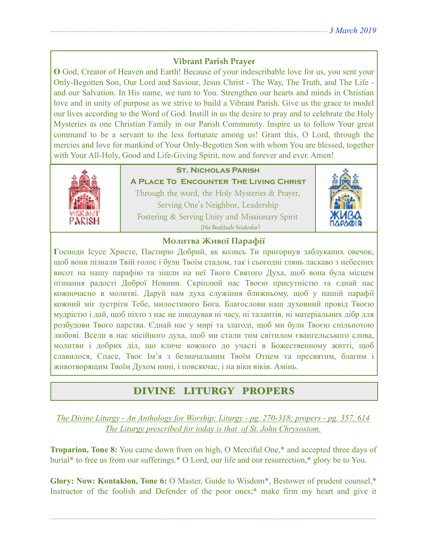## **Vibrant Parish Prayer**

**O** God, Creator of Heaven and Earth! Because of your indescribable love for us, you sent your Only-Begotten Son, Our Lord and Saviour, Jesus Christ - The Way, The Truth, and The Life and our Salvation. In His name, we turn to You. Strengthen our hearts and minds in Christian love and in unity of purpose as we strive to build a Vibrant Parish. Give us the grace to model our lives according to the Word of God. Instill in us the desire to pray and to celebrate the Holy Mysteries as one Christian Family in our Parish Community. Inspire us to follow Your great command to be a servant to the less fortunate among us! Grant this, O Lord, through the mercies and love for mankind of Your Only-Begotten Son with whom You are blessed, together with Your All-Holy, Good and Life-Giving Spirit, now and forever and ever. Amen!



## **St. Nicholas Parish**

**A Place To Encounter The Living Christ** Through the word, the Holy Mysteries & Prayer, Serving One's Neighbor, Leadership Fostering & Serving Unity and Missionary Spirit (His Beatitude Sviatoslav)



### **Молитва Живої Парафії**

**Г**осподи Ісусе Христе, Пастирю Добрий, як колись Ти пригорнув заблуканих овечок, щоб вони пізнали Твій голос і були Твоїм стадом, так і сьогодні глянь ласкаво з небесних висот на нашу парафію та зішли на неї Твого Святого Духа, щоб вона була місцем пізнання радості Доброї Новини. Скріплюй нас Твоєю присутністю та єднай нас кожночасно в молитві. Даруй нам духа служіння ближньому, щоб у нашій парафії кожний міг зустріти Тебе, милостивого Бога. Благослови наш духовний провід Твоєю мудрістю і дай, щоб ніхто з нас не шкодував ні часу, ні талантів, ні матеріальних дібр для розбудови Твого царства. Єднай нас у мирі та злагоді, щоб ми були Твоєю спільнотою любові. Всели в нас місійного духа, щоб ми стали тим світилом євангельського слова, молитви і добрих діл, що кличе кожного до участі в Божественному житті, щоб славилося, Спасе, Твоє Ім'я з безначальним Твоїм Отцем та пресвятим, благим і животворящим Твоїм Духом нині, і повсякчас, і на віки віків. Амінь.

# DIVINE LITURGY PROPERS

*The Divine Liturgy - An Anthology for Worship: Liturgy - pg. 270-318; propers - pg. 357, 614 The Liturgy prescribed for today is that of St. John Chrysostom.* 

**Troparion, Tone 8:** You came down from on high, O Merciful One,\* and accepted three days of burial\* to free us from our sufferings.\* O Lord, our life and our resurrection,\* glory be to You.

**Glory: Now: Kontakion, Tone 6:** O Master, Guide to Wisdom\*, Bestower of prudent counsel,\* Instructor of the foolish and Defender of the poor ones;<sup>\*</sup> make firm my heart and give it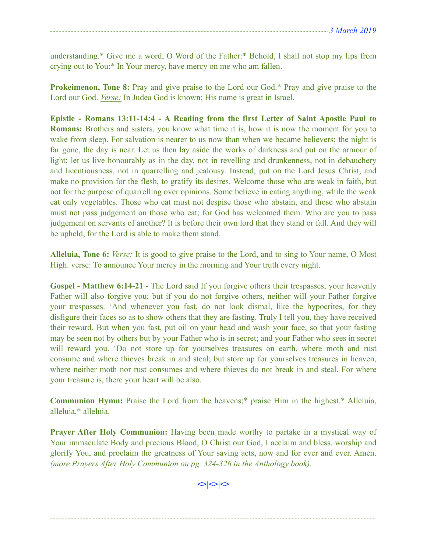understanding.\* Give me a word, O Word of the Father:\* Behold, I shall not stop my lips from crying out to You:\* In Your mercy, have mercy on me who am fallen.

**Prokeimenon, Tone 8:** Pray and give praise to the Lord our God.\* Pray and give praise to the Lord our God. *Verse:* In Judea God is known; His name is great in Israel.

**Epistle - Romans 13:11-14:4 - A Reading from the first Letter of Saint Apostle Paul to Romans:** Brothers and sisters, you know what time it is, how it is now the moment for you to wake from sleep. For salvation is nearer to us now than when we became believers; the night is far gone, the day is near. Let us then lay aside the works of darkness and put on the armour of light; let us live honourably as in the day, not in revelling and drunkenness, not in debauchery and licentiousness, not in quarrelling and jealousy. Instead, put on the Lord Jesus Christ, and make no provision for the flesh, to gratify its desires. Welcome those who are weak in faith, but not for the purpose of quarrelling over opinions. Some believe in eating anything, while the weak eat only vegetables. Those who eat must not despise those who abstain, and those who abstain must not pass judgement on those who eat; for God has welcomed them. Who are you to pass judgement on servants of another? It is before their own lord that they stand or fall. And they will be upheld, for the Lord is able to make them stand.

**Alleluia, Tone 6:** *Verse:* It is good to give praise to the Lord, and to sing to Your name, O Most High. verse: To announce Your mercy in the morning and Your truth every night.

**Gospel - Matthew 6:14-21 -** The Lord said If you forgive others their trespasses, your heavenly Father will also forgive you; but if you do not forgive others, neither will your Father forgive your trespasses. 'And whenever you fast, do not look dismal, like the hypocrites, for they disfigure their faces so as to show others that they are fasting. Truly I tell you, they have received their reward. But when you fast, put oil on your head and wash your face, so that your fasting may be seen not by others but by your Father who is in secret; and your Father who sees in secret will reward you. 'Do not store up for yourselves treasures on earth, where moth and rust consume and where thieves break in and steal; but store up for yourselves treasures in heaven, where neither moth nor rust consumes and where thieves do not break in and steal. For where your treasure is, there your heart will be also.

**Communion Hymn:** Praise the Lord from the heavens;\* praise Him in the highest.\* Alleluia, alleluia,\* alleluia.

**Prayer After Holy Communion:** Having been made worthy to partake in a mystical way of Your immaculate Body and precious Blood, O Christ our God, I acclaim and bless, worship and glorify You, and proclaim the greatness of Your saving acts, now and for ever and ever. Amen. *(more Prayers After Holy Communion on pg. 324-326 in the Anthology book).* 

**<>|<>|**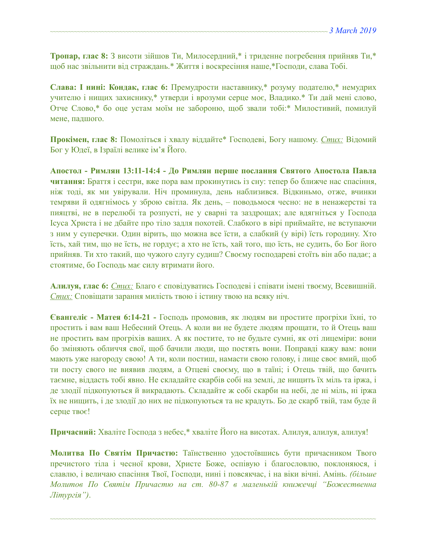**Тропар, глас 8:** З висоти зійшов Ти, Милосердний,\* і триденне погребення прийняв Ти,\* щоб нас звільнити від страждань.\* Життя і воскресіння наше,\*Господи, слава Тобі.

**Слава: І нині: Кондак, глас 6:** Премудрости наставнику,\* розуму подателю,\* немудрих учителю і нищих захиснику,\* утверди і врозуми серце моє, Владико.\* Ти дай мені слово, Отче Слово,\* бо оце устам моїм не забороню, щоб звали тобі:\* Милостивий, помилуй мене, падшого.

**Прокімен, глас 8:** Помоліться і хвалу віддайте\* Господеві, Богу нашому. *Стих:* Відомий Бог у Юдеї, в Ізраїлі велике ім'я Його.

**Апостол - Римлян 13:11-14:4 - До Римлян перше послання Святого Апостола Павла читання:** Браття і сестри, вже пора вам прокинутись із сну: тепер бо ближче нас спасіння, ніж тоді, як ми увірували. Ніч проминула, день наблизився. Відкиньмо, отже, вчинки темряви й одягнімось у зброю світла. Як день, – поводьмося чесно: не в ненажерстві та пияцтві, не в перелюбі та розпусті, не у сварні та заздрощах; але вдягніться у Господа Ісуса Христа і не дбайте про тіло задля похотей. Слабкого в вірі приймайте, не вступаючи з ним у суперечки. Один вірить, що можна все їсти, а слабкий (у вірі) їсть городину. Хто їсть, хай тим, що не їсть, не гордує; а хто не їсть, хай того, що їсть, не судить, бо Бог його прийняв. Ти хто такий, що чужого слугу судиш? Своєму господареві стоїть він або падає; а стоятиме, бо Господь має силу втримати його.

**Алилуя, глас 6:** *Стих:* Благо є сповідуватись Господеві і співати імені твоєму, Всевишній. *Стих:* Сповіщати зарання милість твою і істину твою на всяку ніч.

**Євангеліє - Матея 6:14-21 -** Господь промовив, як людям ви простите прогріхи їхні, то простить і вам ваш Небесний Отець. А коли ви не будете людям прощати, то й Отець ваш не простить вам прогріхів ваших. А як постите, то не будьте сумні, як оті лицеміри: вони бо зміняють обличчя свої, щоб бачили люди, що постять вони. Поправді кажу вам: вони мають уже нагороду свою! А ти, коли постиш, намасти свою голову, і лице своє вмий, щоб ти посту свого не виявив людям, а Отцеві своєму, що в таїні; і Отець твій, що бачить таємне, віддасть тобі явно. Не складайте скарбів собі на землі, де нищить їх міль та іржа, і де злодії підкопуються й викрадають. Складайте ж собі скарби на небі, де ні міль, ні іржа їх не нищить, і де злодії до них не підкопуються та не крадуть. Бо де скарб твій, там буде й серце твоє!

**Причасний:** Хваліте Господа з небес,\* хваліте Його на висотах. Алилуя, aлилуя, aлилуя!

**Молитва По Святім Причастю:** Таїнственно удостоївшись бути причасником Твого пречистого тіла і чесної крови, Христе Боже, оспівую і благословлю, поклоняюся, і славлю, і величаю спасіння Твої, Господи, нині і повсякчас, і на віки вічні. Амінь. *(більше Молитов По Святім Причастю на ст. 80-87 в маленькій книжечці "Божественна Літургія")*.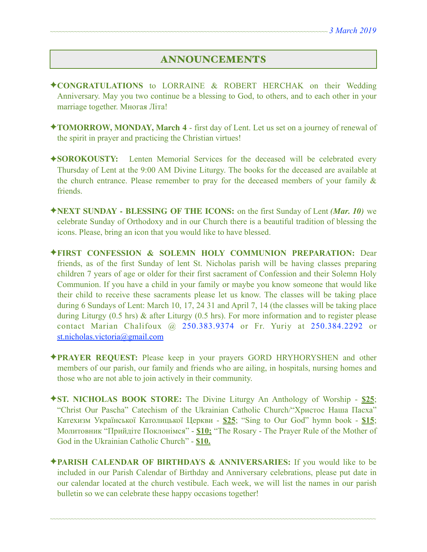# ANNOUNCEMENTS

- ✦**CONGRATULATIONS** to LORRAINE & ROBERT HERCHAK on their Wedding Anniversary. May you two continue be a blessing to God, to others, and to each other in your marriage together. Многая Літа!
- ✦**TOMORROW, MONDAY, March 4**  first day of Lent. Let us set on a journey of renewal of the spirit in prayer and practicing the Christian virtues!
- ✦**SOROKOUSTY:** Lenten Memorial Services for the deceased will be celebrated every Thursday of Lent at the 9:00 AM Divine Liturgy. The books for the deceased are available at the church entrance. Please remember to pray for the deceased members of your family  $\&$ friends.
- ✦**NEXT SUNDAY BLESSING OF THE ICONS:** on the first Sunday of Lent *(Mar. 10)* we celebrate Sunday of Orthodoxy and in our Church there is a beautiful tradition of blessing the icons. Please, bring an icon that you would like to have blessed.
- ✦**FIRST CONFESSION & SOLEMN HOLY COMMUNION PREPARATION:** Dear friends, as of the first Sunday of lent St. Nicholas parish will be having classes preparing children 7 years of age or older for their first sacrament of Confession and their Solemn Holy Communion. If you have a child in your family or maybe you know someone that would like their child to receive these sacraments please let us know. The classes will be taking place during 6 Sundays of Lent: March 10, 17, 24 31 and April 7, 14 (the classes will be taking place during Liturgy (0.5 hrs) & after Liturgy (0.5 hrs). For more information and to register please contact Marian Chalifoux @ 250.383.9374 or Fr. Yuriy at 250.384.2292 or [st.nicholas.victoria@gmail.com](mailto:st.nicholas.victoria@gmail.com)
- ✦**PRAYER REQUEST:** Please keep in your prayers GORD HRYHORYSHEN and other members of our parish, our family and friends who are ailing, in hospitals, nursing homes and those who are not able to join actively in their community.
- ✦**ST. NICHOLAS BOOK STORE:** The Divine Liturgy An Anthology of Worship **\$25**; "Christ Our Pascha" Catechism of the Ukrainian Catholic Church/"Христос Наша Пасха" Катехизм Української Католицької Церкви - **\$25**; "Sing to Our God" hymn book - **\$15**; Молитовник "Прийдіте Поклонімся" - **\$10;** "The Rosary - The Prayer Rule of the Mother of God in the Ukrainian Catholic Church" - **\$10.**
- ✦**PARISH CALENDAR OF BIRTHDAYS & ANNIVERSARIES:** If you would like to be included in our Parish Calendar of Birthday and Anniversary celebrations, please put date in our calendar located at the church vestibule. Each week, we will list the names in our parish bulletin so we can celebrate these happy occasions together!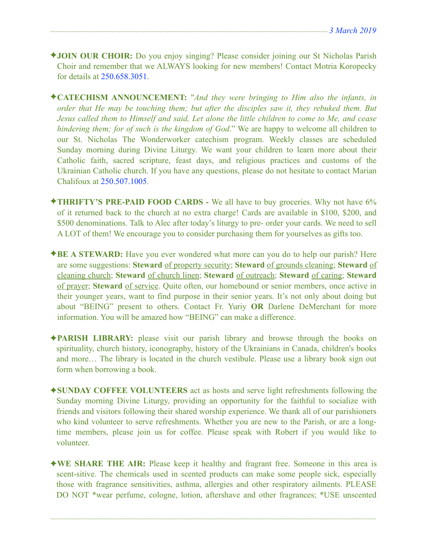- ✦**JOIN OUR CHOIR:** Do you enjoy singing? Please consider joining our St Nicholas Parish Choir and remember that we ALWAYS looking for new members! Contact Motria Koropecky for details at 250.658.3051.
- ✦**CATECHISM ANNOUNCEMENT:** "*And they were bringing to Him also the infants, in order that He may be touching them; but after the disciples saw it, they rebuked them. But Jesus called them to Himself and said, Let alone the little children to come to Me, and cease hindering them; for of such is the kingdom of God*." We are happy to welcome all children to our St. Nicholas The Wonderworker catechism program. Weekly classes are scheduled Sunday morning during Divine Liturgy. We want your children to learn more about their Catholic faith, sacred scripture, feast days, and religious practices and customs of the Ukrainian Catholic church. If you have any questions, please do not hesitate to contact Marian Chalifoux at 250.507.1005.
- ✦**THRIFTY'S PRE-PAID FOOD CARDS** We all have to buy groceries. Why not have 6% of it returned back to the church at no extra charge! Cards are available in \$100, \$200, and \$500 denominations. Talk to Alec after today's liturgy to pre- order your cards. We need to sell A LOT of them! We encourage you to consider purchasing them for yourselves as gifts too.
- ✦**BE A STEWARD:** Have you ever wondered what more can you do to help our parish? Here are some suggestions: **Steward** of property security; **Steward** of grounds cleaning; **Steward** of cleaning church; **Steward** of church linen; **Steward** of outreach; **Steward** of caring; **Steward** of prayer; **Steward** of service. Quite often, our homebound or senior members, once active in their younger years, want to find purpose in their senior years. It's not only about doing but about "BEING" present to others. Contact Fr. Yuriy **OR** Darlene DeMerchant for more information. You will be amazed how "BEING" can make a difference.
- ✦**PARISH LIBRARY:** please visit our parish library and browse through the books on spirituality, church history, iconography, history of the Ukrainians in Canada, children's books and more… The library is located in the church vestibule. Please use a library book sign out form when borrowing a book.
- ✦**SUNDAY COFFEE VOLUNTEERS** act as hosts and serve light refreshments following the Sunday morning Divine Liturgy, providing an opportunity for the faithful to socialize with friends and visitors following their shared worship experience. We thank all of our parishioners who kind volunteer to serve refreshments. Whether you are new to the Parish, or are a longtime members, please join us for coffee. Please speak with Robert if you would like to volunteer.
- ✦**WE SHARE THE AIR:** Please keep it healthy and fragrant free. Someone in this area is scent-sitive. The chemicals used in scented products can make some people sick, especially those with fragrance sensitivities, asthma, allergies and other respiratory ailments. PLEASE DO NOT \*wear perfume, cologne, lotion, aftershave and other fragrances; \*USE unscented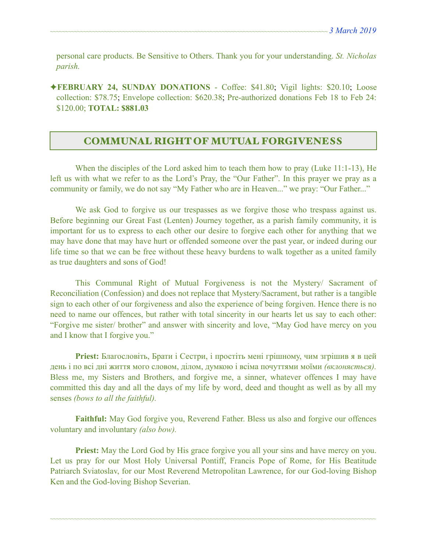personal care products. Be Sensitive to Others. Thank you for your understanding. *St. Nicholas parish.* 

✦**FEBRUARY 24, SUNDAY DONATIONS** - Coffee: \$41.80; Vigil lights: \$20.10; Loose collection: \$78.75; Envelope collection: \$620.38; Pre-authorized donations Feb 18 to Feb 24: \$120.00; **TOTAL: \$881.03** 

# COMMUNAL RIGHT OF MUTUAL FORGIVENESS

 When the disciples of the Lord asked him to teach them how to pray (Luke 11:1-13), He left us with what we refer to as the Lord's Pray, the "Our Father". In this prayer we pray as a community or family, we do not say "My Father who are in Heaven..." we pray: "Our Father..."

 We ask God to forgive us our trespasses as we forgive those who trespass against us. Before beginning our Great Fast (Lenten) Journey together, as a parish family community, it is important for us to express to each other our desire to forgive each other for anything that we may have done that may have hurt or offended someone over the past year, or indeed during our life time so that we can be free without these heavy burdens to walk together as a united family as true daughters and sons of God!

 This Communal Right of Mutual Forgiveness is not the Mystery/ Sacrament of Reconciliation (Confession) and does not replace that Mystery/Sacrament, but rather is a tangible sign to each other of our forgiveness and also the experience of being forgiven. Hence there is no need to name our offences, but rather with total sincerity in our hearts let us say to each other: "Forgive me sister/ brother" and answer with sincerity and love, "May God have mercy on you and I know that I forgive you."

**Priest:** Благословіть, Брати і Сестри, і простіть мені грішному, чим згрішив я в цей день і по всі дні життя мого словом, ділом, думкою і всіма почуттями моїми *(вклоняється).*  Bless me, my Sisters and Brothers, and forgive me, a sinner, whatever offences I may have committed this day and all the days of my life by word, deed and thought as well as by all my senses *(bows to all the faithful).* 

**Faithful:** May God forgive you, Reverend Father. Bless us also and forgive our offences voluntary and involuntary *(also bow).* 

**Priest:** May the Lord God by His grace forgive you all your sins and have mercy on you. Let us pray for our Most Holy Universal Pontiff, Francis Pope of Rome, for His Beatitude Patriarch Sviatoslav, for our Most Reverend Metropolitan Lawrence, for our God-loving Bishop Ken and the God-loving Bishop Severian.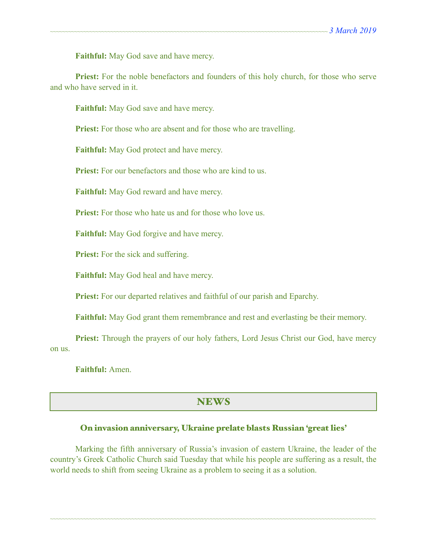**Faithful:** May God save and have mercy.

Priest: For the noble benefactors and founders of this holy church, for those who serve and who have served in it.

**Faithful:** May God save and have mercy.

**Priest:** For those who are absent and for those who are travelling.

**Faithful:** May God protect and have mercy.

**Priest:** For our benefactors and those who are kind to us.

**Faithful:** May God reward and have mercy.

**Priest:** For those who hate us and for those who love us.

**Faithful:** May God forgive and have mercy.

**Priest:** For the sick and suffering.

**Faithful:** May God heal and have mercy.

**Priest:** For our departed relatives and faithful of our parish and Eparchy.

**Faithful:** May God grant them remembrance and rest and everlasting be their memory.

**Priest:** Through the prayers of our holy fathers, Lord Jesus Christ our God, have mercy on us.

**Faithful:** Amen.

## **NEWS**

#### On invasion anniversary, Ukraine prelate blasts Russian 'great lies'

 Marking the fifth anniversary of Russia's invasion of eastern Ukraine, the leader of the country's Greek Catholic Church said Tuesday that while his people are suffering as a result, the world needs to shift from seeing Ukraine as a problem to seeing it as a solution.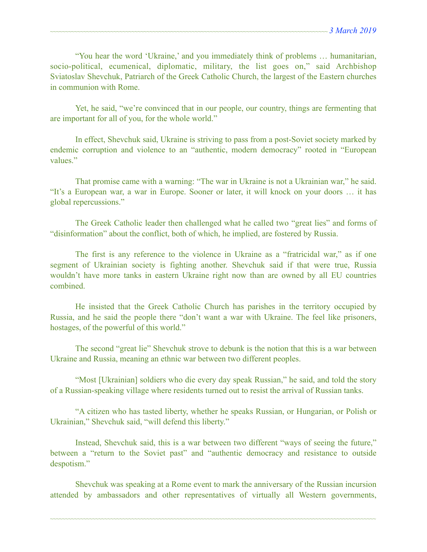"You hear the word 'Ukraine,' and you immediately think of problems … humanitarian, socio-political, ecumenical, diplomatic, military, the list goes on," said Archbishop Sviatoslav Shevchuk, Patriarch of the Greek Catholic Church, the largest of the Eastern churches in communion with Rome.

 Yet, he said, "we're convinced that in our people, our country, things are fermenting that are important for all of you, for the whole world."

 In effect, Shevchuk said, Ukraine is striving to pass from a post-Soviet society marked by endemic corruption and violence to an "authentic, modern democracy" rooted in "European values."

 That promise came with a warning: "The war in Ukraine is not a Ukrainian war," he said. "It's a European war, a war in Europe. Sooner or later, it will knock on your doors … it has global repercussions."

 The Greek Catholic leader then challenged what he called two "great lies" and forms of "disinformation" about the conflict, both of which, he implied, are fostered by Russia.

 The first is any reference to the violence in Ukraine as a "fratricidal war," as if one segment of Ukrainian society is fighting another. Shevchuk said if that were true, Russia wouldn't have more tanks in eastern Ukraine right now than are owned by all EU countries combined.

 He insisted that the Greek Catholic Church has parishes in the territory occupied by Russia, and he said the people there "don't want a war with Ukraine. The feel like prisoners, hostages, of the powerful of this world."

 The second "great lie" Shevchuk strove to debunk is the notion that this is a war between Ukraine and Russia, meaning an ethnic war between two different peoples.

 "Most [Ukrainian] soldiers who die every day speak Russian," he said, and told the story of a Russian-speaking village where residents turned out to resist the arrival of Russian tanks.

 "A citizen who has tasted liberty, whether he speaks Russian, or Hungarian, or Polish or Ukrainian," Shevchuk said, "will defend this liberty."

 Instead, Shevchuk said, this is a war between two different "ways of seeing the future," between a "return to the Soviet past" and "authentic democracy and resistance to outside despotism."

 Shevchuk was speaking at a Rome event to mark the anniversary of the Russian incursion attended by ambassadors and other representatives of virtually all Western governments,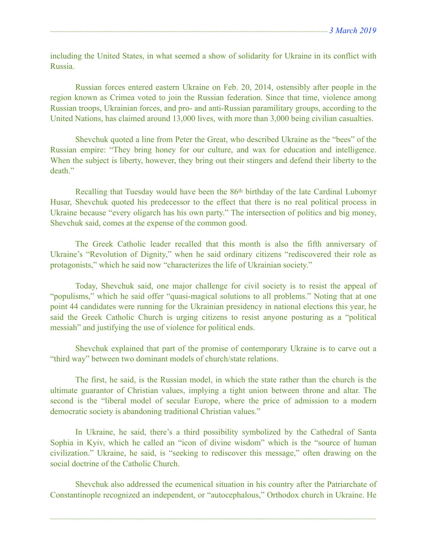including the United States, in what seemed a show of solidarity for Ukraine in its conflict with Russia.

 Russian forces entered eastern Ukraine on Feb. 20, 2014, ostensibly after people in the region known as Crimea voted to join the Russian federation. Since that time, violence among Russian troops, Ukrainian forces, and pro- and anti-Russian paramilitary groups, according to the United Nations, has claimed around 13,000 lives, with more than 3,000 being civilian casualties.

 Shevchuk quoted a line from Peter the Great, who described Ukraine as the "bees" of the Russian empire: "They bring honey for our culture, and wax for education and intelligence. When the subject is liberty, however, they bring out their stingers and defend their liberty to the death"

 Recalling that Tuesday would have been the 86th birthday of the late Cardinal Lubomyr Husar, Shevchuk quoted his predecessor to the effect that there is no real political process in Ukraine because "every oligarch has his own party." The intersection of politics and big money, Shevchuk said, comes at the expense of the common good.

 The Greek Catholic leader recalled that this month is also the fifth anniversary of Ukraine's "Revolution of Dignity," when he said ordinary citizens "rediscovered their role as protagonists," which he said now "characterizes the life of Ukrainian society."

 Today, Shevchuk said, one major challenge for civil society is to resist the appeal of "populisms," which he said offer "quasi-magical solutions to all problems." Noting that at one point 44 candidates were running for the Ukrainian presidency in national elections this year, he said the Greek Catholic Church is urging citizens to resist anyone posturing as a "political messiah" and justifying the use of violence for political ends.

 Shevchuk explained that part of the promise of contemporary Ukraine is to carve out a "third way" between two dominant models of church/state relations.

 The first, he said, is the Russian model, in which the state rather than the church is the ultimate guarantor of Christian values, implying a tight union between throne and altar. The second is the "liberal model of secular Europe, where the price of admission to a modern democratic society is abandoning traditional Christian values."

 In Ukraine, he said, there's a third possibility symbolized by the Cathedral of Santa Sophia in Kyiv, which he called an "icon of divine wisdom" which is the "source of human civilization." Ukraine, he said, is "seeking to rediscover this message," often drawing on the social doctrine of the Catholic Church.

 Shevchuk also addressed the ecumenical situation in his country after the Patriarchate of Constantinople recognized an independent, or "autocephalous," Orthodox church in Ukraine. He